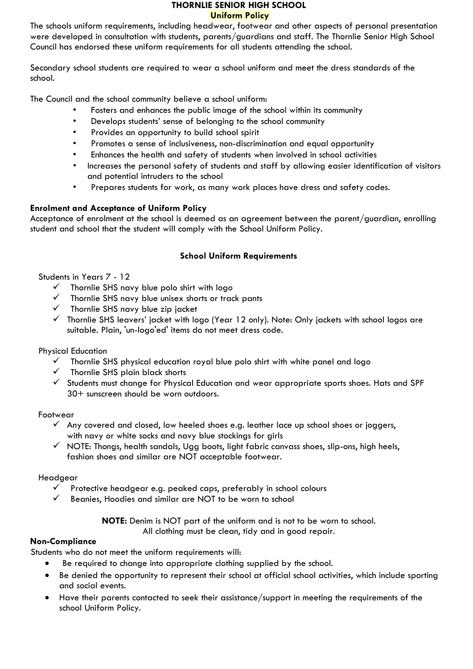#### **THORNLIE SENIOR HIGH SCHOOL Uniform Policy**

The schools uniform requirements, including headwear, footwear and other aspects of personal presentation were developed in consultation with students, parents/guardians and staff. The Thornlie Senior High School Council has endorsed these uniform requirements for all students attending the school.

Secondary school students are required to wear a school uniform and meet the dress standards of the school.

The Council and the school community believe a school uniform:

- Fosters and enhances the public image of the school within its community
- Develops students' sense of belonging to the school community
- Provides an opportunity to build school spirit
- Promotes a sense of inclusiveness, non-discrimination and equal opportunity
- Enhances the health and safety of students when involved in school activities
- Increases the personal safety of students and staff by allowing easier identification of visitors and potential intruders to the school
- Prepares students for work, as many work places have dress and safety codes.

## **Enrolment and Acceptance of Uniform Policy**

Acceptance of enrolment at the school is deemed as an agreement between the parent/guardian, enrolling student and school that the student will comply with the School Uniform Policy.

# **School Uniform Requirements**

## Students in Years 7 - 12

- $\checkmark$  Thornlie SHS navy blue polo shirt with logo
- $\checkmark$  Thornlie SHS navy blue unisex shorts or track pants
- $\checkmark$  Thornlie SHS navy blue zip jacket
- $\checkmark$  Thornlie SHS leavers' jacket with logo (Year 12 only). Note: Only jackets with school logos are suitable. Plain, 'un-logo'ed' items do not meet dress code.

#### Physical Education

- Thornlie SHS physical education royal blue polo shirt with white panel and logo
- $\checkmark$  Thornlie SHS plain black shorts
- $\checkmark$  Students must change for Physical Education and wear appropriate sports shoes. Hats and SPF 30+ sunscreen should be worn outdoors.

## Footwear

- $\checkmark$  Any covered and closed, low heeled shoes e.g. leather lace up school shoes or joggers, with navy or white socks and navy blue stockings for girls
- $\checkmark$  NOTE: Thongs, health sandals, Ugg boots, light fabric canvass shoes, slip-ons, high heels, fashion shoes and similar are NOT acceptable footwear.

## Headgear

- $\checkmark$  Protective headgear e.g. peaked caps, preferably in school colours
- $\checkmark$  Beanies, Hoodies and similar are NOT to be worn to school

**NOTE:** Denim is NOT part of the uniform and is not to be worn to school. All clothing must be clean, tidy and in good repair.

## **Non-Compliance**

Students who do not meet the uniform requirements will:

- Be required to change into appropriate clothing supplied by the school.
- Be denied the opportunity to represent their school at official school activities, which include sporting and social events.
- Have their parents contacted to seek their assistance/support in meeting the requirements of the school Uniform Policy.